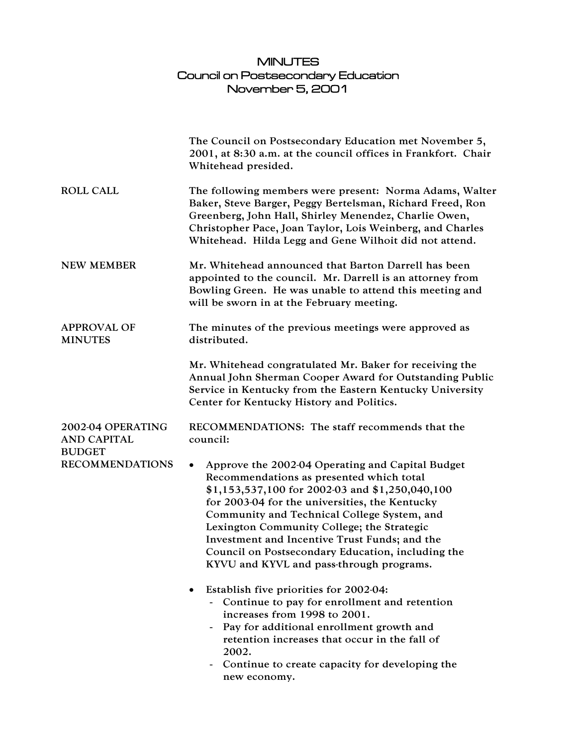## MINUTES Council on Postsecondary Education November 5, 2001

|                                         | The Council on Postsecondary Education met November 5,<br>2001, at 8:30 a.m. at the council offices in Frankfort. Chair<br>Whitehead presided.                                                                                                                                                                                                                                                                                                                |
|-----------------------------------------|---------------------------------------------------------------------------------------------------------------------------------------------------------------------------------------------------------------------------------------------------------------------------------------------------------------------------------------------------------------------------------------------------------------------------------------------------------------|
| <b>ROLL CALL</b>                        | The following members were present: Norma Adams, Walter<br>Baker, Steve Barger, Peggy Bertelsman, Richard Freed, Ron<br>Greenberg, John Hall, Shirley Menendez, Charlie Owen,<br>Christopher Pace, Joan Taylor, Lois Weinberg, and Charles<br>Whitehead. Hilda Legg and Gene Wilhoit did not attend.                                                                                                                                                          |
| <b>NEW MEMBER</b>                       | Mr. Whitehead announced that Barton Darrell has been<br>appointed to the council. Mr. Darrell is an attorney from<br>Bowling Green. He was unable to attend this meeting and<br>will be sworn in at the February meeting.                                                                                                                                                                                                                                     |
| <b>APPROVAL OF</b><br><b>MINUTES</b>    | The minutes of the previous meetings were approved as<br>distributed.                                                                                                                                                                                                                                                                                                                                                                                         |
|                                         | Mr. Whitehead congratulated Mr. Baker for receiving the<br>Annual John Sherman Cooper Award for Outstanding Public<br>Service in Kentucky from the Eastern Kentucky University<br>Center for Kentucky History and Politics.                                                                                                                                                                                                                                   |
| 2002-04 OPERATING<br><b>AND CAPITAL</b> | RECOMMENDATIONS: The staff recommends that the<br>council:                                                                                                                                                                                                                                                                                                                                                                                                    |
| <b>BUDGET</b><br><b>RECOMMENDATIONS</b> | Approve the 2002-04 Operating and Capital Budget<br>$\bullet$<br>Recommendations as presented which total<br>\$1,153,537,100 for 2002-03 and \$1,250,040,100<br>for 2003-04 for the universities, the Kentucky<br>Community and Technical College System, and<br>Lexington Community College; the Strategic<br>Investment and Incentive Trust Funds; and the<br>Council on Postsecondary Education, including the<br>KYVU and KYVL and pass-through programs. |
|                                         | Establish five priorities for 2002-04:<br>Continue to pay for enrollment and retention<br>increases from 1998 to 2001.<br>Pay for additional enrollment growth and<br>retention increases that occur in the fall of<br>2002.<br>Continue to create capacity for developing the<br>new economy.                                                                                                                                                                |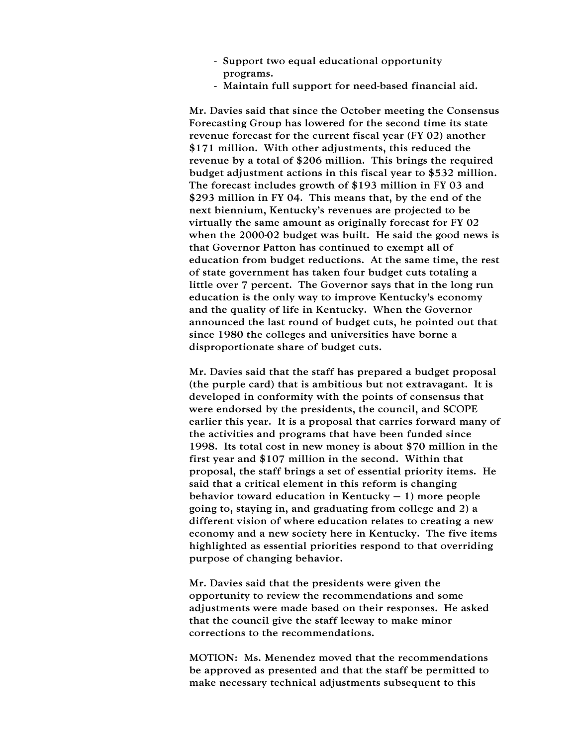- Support two equal educational opportunity programs.
- Maintain full support for need-based financial aid.

Mr. Davies said that since the October meeting the Consensus Forecasting Group has lowered for the second time its state revenue forecast for the current fiscal year (FY 02) another \$171 million. With other adjustments, this reduced the revenue by a total of \$206 million. This brings the required budget adjustment actions in this fiscal year to \$532 million. The forecast includes growth of \$193 million in FY 03 and \$293 million in FY 04. This means that, by the end of the next biennium, Kentucky's revenues are projected to be virtually the same amount as originally forecast for FY 02 when the 2000-02 budget was built. He said the good news is that Governor Patton has continued to exempt all of education from budget reductions. At the same time, the rest of state government has taken four budget cuts totaling a little over 7 percent. The Governor says that in the long run education is the only way to improve Kentucky's economy and the quality of life in Kentucky. When the Governor announced the last round of budget cuts, he pointed out that since 1980 the colleges and universities have borne a disproportionate share of budget cuts.

Mr. Davies said that the staff has prepared a budget proposal (the purple card) that is ambitious but not extravagant. It is developed in conformity with the points of consensus that were endorsed by the presidents, the council, and SCOPE earlier this year. It is a proposal that carries forward many of the activities and programs that have been funded since 1998. Its total cost in new money is about \$70 million in the first year and \$107 million in the second. Within that proposal, the staff brings a set of essential priority items. He said that a critical element in this reform is changing behavior toward education in Kentucky  $-1$ ) more people going to, staying in, and graduating from college and 2) a different vision of where education relates to creating a new economy and a new society here in Kentucky. The five items highlighted as essential priorities respond to that overriding purpose of changing behavior.

Mr. Davies said that the presidents were given the opportunity to review the recommendations and some adjustments were made based on their responses. He asked that the council give the staff leeway to make minor corrections to the recommendations.

MOTION: Ms. Menendez moved that the recommendations be approved as presented and that the staff be permitted to make necessary technical adjustments subsequent to this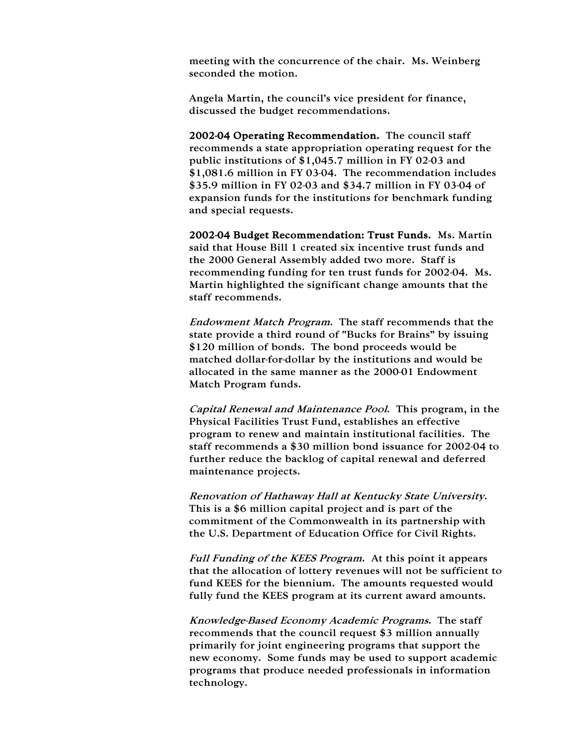meeting with the concurrence of the chair. Ms. Weinberg seconded the motion.

Angela Martin, the council's vice president for finance, discussed the budget recommendations.

2002-04 Operating Recommendation. The council staff recommends a state appropriation operating request for the public institutions of \$1,045.7 million in FY 02-03 and \$1,081.6 million in FY 03-04. The recommendation includes \$35.9 million in FY 02-03 and \$34.7 million in FY 03-04 of expansion funds for the institutions for benchmark funding and special requests.

2002-04 Budget Recommendation: Trust Funds. Ms. Martin said that House Bill 1 created six incentive trust funds and the 2000 General Assembly added two more. Staff is recommending funding for ten trust funds for 2002-04. Ms. Martin highlighted the significant change amounts that the staff recommends.

Endowment Match Program. The staff recommends that the state provide a third round of "Bucks for Brains" by issuing \$120 million of bonds. The bond proceeds would be matched dollar-for-dollar by the institutions and would be allocated in the same manner as the 2000-01 Endowment Match Program funds.

Capital Renewal and Maintenance Pool. This program, in the Physical Facilities Trust Fund, establishes an effective program to renew and maintain institutional facilities. The staff recommends a \$30 million bond issuance for 2002-04 to further reduce the backlog of capital renewal and deferred maintenance projects.

Renovation of Hathaway Hall at Kentucky State University. This is a \$6 million capital project and is part of the commitment of the Commonwealth in its partnership with the U.S. Department of Education Office for Civil Rights.

Full Funding of the KEES Program. At this point it appears that the allocation of lottery revenues will not be sufficient to fund KEES for the biennium. The amounts requested would fully fund the KEES program at its current award amounts.

Knowledge-Based Economy Academic Programs. The staff recommends that the council request \$3 million annually primarily for joint engineering programs that support the new economy. Some funds may be used to support academic programs that produce needed professionals in information technology.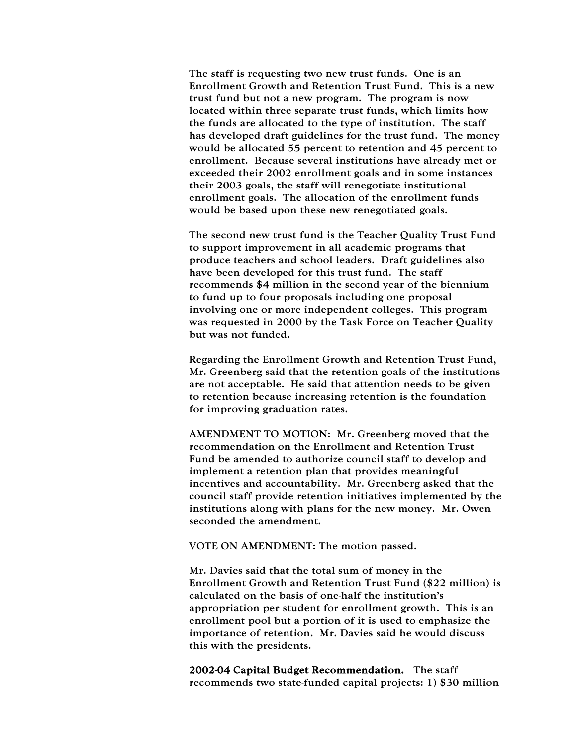The staff is requesting two new trust funds. One is an Enrollment Growth and Retention Trust Fund. This is a new trust fund but not a new program. The program is now located within three separate trust funds, which limits how the funds are allocated to the type of institution. The staff has developed draft guidelines for the trust fund. The money would be allocated 55 percent to retention and 45 percent to enrollment. Because several institutions have already met or exceeded their 2002 enrollment goals and in some instances their 2003 goals, the staff will renegotiate institutional enrollment goals. The allocation of the enrollment funds would be based upon these new renegotiated goals.

The second new trust fund is the Teacher Quality Trust Fund to support improvement in all academic programs that produce teachers and school leaders. Draft guidelines also have been developed for this trust fund. The staff recommends \$4 million in the second year of the biennium to fund up to four proposals including one proposal involving one or more independent colleges. This program was requested in 2000 by the Task Force on Teacher Quality but was not funded.

Regarding the Enrollment Growth and Retention Trust Fund, Mr. Greenberg said that the retention goals of the institutions are not acceptable. He said that attention needs to be given to retention because increasing retention is the foundation for improving graduation rates.

AMENDMENT TO MOTION: Mr. Greenberg moved that the recommendation on the Enrollment and Retention Trust Fund be amended to authorize council staff to develop and implement a retention plan that provides meaningful incentives and accountability. Mr. Greenberg asked that the council staff provide retention initiatives implemented by the institutions along with plans for the new money. Mr. Owen seconded the amendment.

VOTE ON AMENDMENT: The motion passed.

Mr. Davies said that the total sum of money in the Enrollment Growth and Retention Trust Fund (\$22 million) is calculated on the basis of one-half the institution's appropriation per student for enrollment growth. This is an enrollment pool but a portion of it is used to emphasize the importance of retention. Mr. Davies said he would discuss this with the presidents.

2002-04 Capital Budget Recommendation. The staff recommends two state-funded capital projects: 1) \$30 million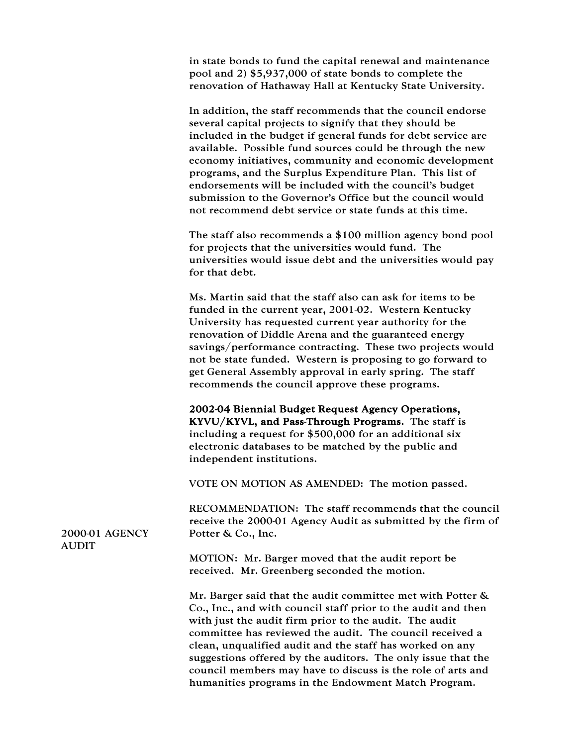in state bonds to fund the capital renewal and maintenance pool and 2) \$5,937,000 of state bonds to complete the renovation of Hathaway Hall at Kentucky State University.

In addition, the staff recommends that the council endorse several capital projects to signify that they should be included in the budget if general funds for debt service are available. Possible fund sources could be through the new economy initiatives, community and economic development programs, and the Surplus Expenditure Plan. This list of endorsements will be included with the council's budget submission to the Governor's Office but the council would not recommend debt service or state funds at this time.

The staff also recommends a \$100 million agency bond pool for projects that the universities would fund. The universities would issue debt and the universities would pay for that debt.

Ms. Martin said that the staff also can ask for items to be funded in the current year, 2001-02. Western Kentucky University has requested current year authority for the renovation of Diddle Arena and the guaranteed energy savings/performance contracting. These two projects would not be state funded. Western is proposing to go forward to get General Assembly approval in early spring. The staff recommends the council approve these programs.

2002-04 Biennial Budget Request Agency Operations, KYVU/KYVL, and Pass-Through Programs. The staff is including a request for \$500,000 for an additional six electronic databases to be matched by the public and independent institutions.

VOTE ON MOTION AS AMENDED: The motion passed.

RECOMMENDATION: The staff recommends that the council receive the 2000-01 Agency Audit as submitted by the firm of Potter & Co., Inc.

2000-01 AGENCY **AUDIT** 

> MOTION: Mr. Barger moved that the audit report be received. Mr. Greenberg seconded the motion.

Mr. Barger said that the audit committee met with Potter & Co., Inc., and with council staff prior to the audit and then with just the audit firm prior to the audit. The audit committee has reviewed the audit. The council received a clean, unqualified audit and the staff has worked on any suggestions offered by the auditors. The only issue that the council members may have to discuss is the role of arts and humanities programs in the Endowment Match Program.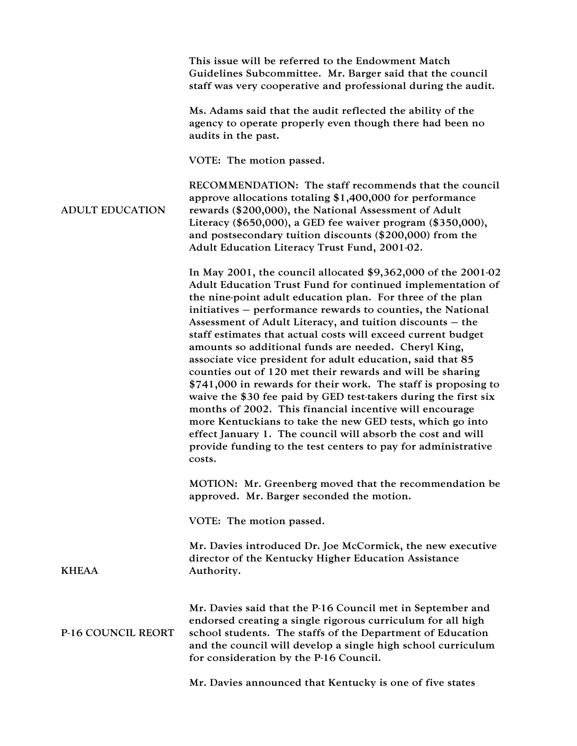This issue will be referred to the Endowment Match Guidelines Subcommittee. Mr. Barger said that the council staff was very cooperative and professional during the audit.

Ms. Adams said that the audit reflected the ability of the agency to operate properly even though there had been no audits in the past.

VOTE: The motion passed.

ADULT EDUCATION RECOMMENDATION: The staff recommends that the council approve allocations totaling \$1,400,000 for performance rewards (\$200,000), the National Assessment of Adult Literacy (\$650,000), a GED fee waiver program (\$350,000), and postsecondary tuition discounts (\$200,000) from the Adult Education Literacy Trust Fund, 2001-02.

> In May 2001, the council allocated \$9,362,000 of the 2001-02 Adult Education Trust Fund for continued implementation of the nine-point adult education plan. For three of the plan initiatives – performance rewards to counties, the National Assessment of Adult Literacy, and tuition discounts – the staff estimates that actual costs will exceed current budget amounts so additional funds are needed. Cheryl King, associate vice president for adult education, said that 85 counties out of 120 met their rewards and will be sharing \$741,000 in rewards for their work. The staff is proposing to waive the \$30 fee paid by GED test-takers during the first six months of 2002. This financial incentive will encourage more Kentuckians to take the new GED tests, which go into effect January 1. The council will absorb the cost and will provide funding to the test centers to pay for administrative costs.

> MOTION: Mr. Greenberg moved that the recommendation be approved. Mr. Barger seconded the motion.

VOTE: The motion passed.

**KHEAA** 

Mr. Davies introduced Dr. Joe McCormick, the new executive director of the Kentucky Higher Education Assistance Authority.

P-16 COUNCIL REORT Mr. Davies said that the P-16 Council met in September and endorsed creating a single rigorous curriculum for all high school students. The staffs of the Department of Education and the council will develop a single high school curriculum for consideration by the P-16 Council.

Mr. Davies announced that Kentucky is one of five states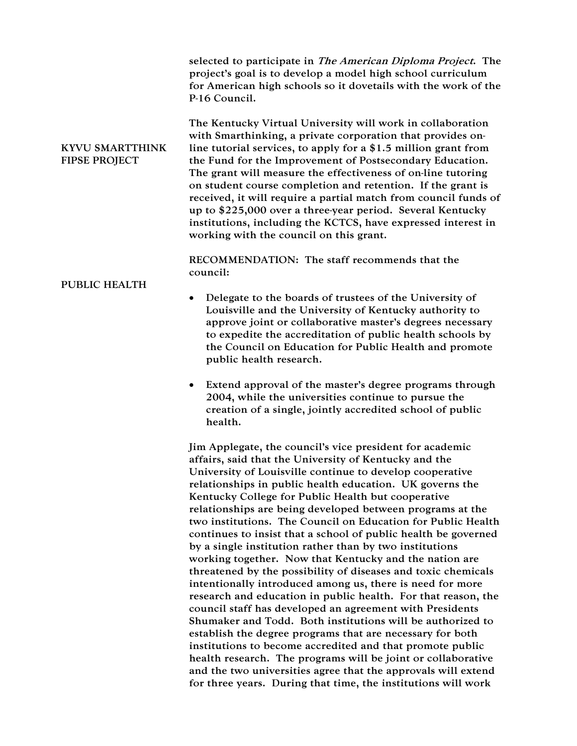|                                                | selected to participate in The American Diploma Project. The<br>project's goal is to develop a model high school curriculum<br>for American high schools so it dovetails with the work of the<br>P-16 Council.                                                                                                                                                                                                                                                                                                                                                                                                                      |
|------------------------------------------------|-------------------------------------------------------------------------------------------------------------------------------------------------------------------------------------------------------------------------------------------------------------------------------------------------------------------------------------------------------------------------------------------------------------------------------------------------------------------------------------------------------------------------------------------------------------------------------------------------------------------------------------|
| <b>KYVU SMARTTHINK</b><br><b>FIPSE PROJECT</b> | The Kentucky Virtual University will work in collaboration<br>with Smarthinking, a private corporation that provides on-<br>line tutorial services, to apply for a \$1.5 million grant from<br>the Fund for the Improvement of Postsecondary Education.<br>The grant will measure the effectiveness of on-line tutoring<br>on student course completion and retention. If the grant is<br>received, it will require a partial match from council funds of<br>up to \$225,000 over a three-year period. Several Kentucky<br>institutions, including the KCTCS, have expressed interest in<br>working with the council on this grant. |
| <b>PUBLIC HEALTH</b>                           | RECOMMENDATION: The staff recommends that the<br>council:                                                                                                                                                                                                                                                                                                                                                                                                                                                                                                                                                                           |
|                                                | Delegate to the boards of trustees of the University of<br>Louisville and the University of Kentucky authority to<br>approve joint or collaborative master's degrees necessary<br>to expedite the accreditation of public health schools by<br>the Council on Education for Public Health and promote<br>public health research.                                                                                                                                                                                                                                                                                                    |
|                                                | Extend approval of the master's degree programs through<br>$\bullet$<br>2004, while the universities continue to pursue the<br>creation of a single, jointly accredited school of public<br>health.                                                                                                                                                                                                                                                                                                                                                                                                                                 |
|                                                | Jim Applegate, the council's vice president for academic<br>affairs, said that the University of Kentucky and the                                                                                                                                                                                                                                                                                                                                                                                                                                                                                                                   |

affairs, said that the University of Kentucky and the University of Louisville continue to develop cooperative relationships in public health education. UK governs the Kentucky College for Public Health but cooperative relationships are being developed between programs at the two institutions. The Council on Education for Public Health continues to insist that a school of public health be governed by a single institution rather than by two institutions working together. Now that Kentucky and the nation are threatened by the possibility of diseases and toxic chemicals intentionally introduced among us, there is need for more research and education in public health. For that reason, the council staff has developed an agreement with Presidents Shumaker and Todd. Both institutions will be authorized to establish the degree programs that are necessary for both institutions to become accredited and that promote public health research. The programs will be joint or collaborative and the two universities agree that the approvals will extend for three years. During that time, the institutions will work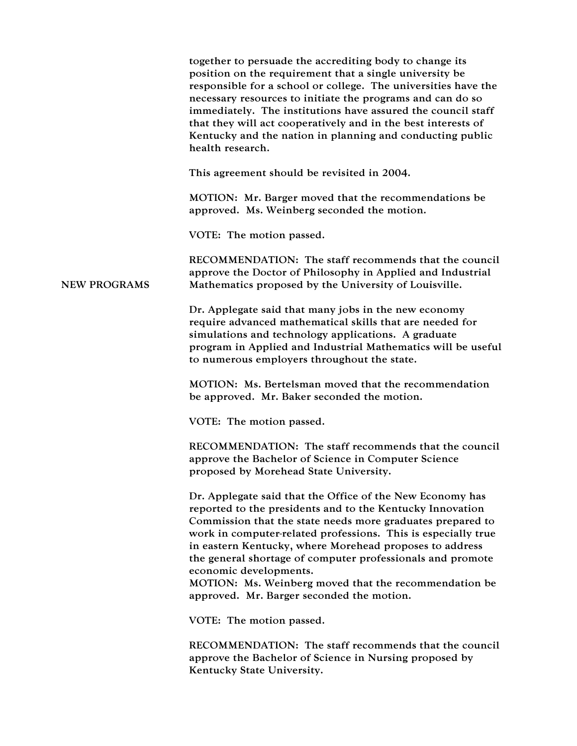|                     | together to persuade the accrediting body to change its<br>position on the requirement that a single university be<br>responsible for a school or college. The universities have the<br>necessary resources to initiate the programs and can do so<br>immediately. The institutions have assured the council staff<br>that they will act cooperatively and in the best interests of<br>Kentucky and the nation in planning and conducting public<br>health research.                                           |
|---------------------|----------------------------------------------------------------------------------------------------------------------------------------------------------------------------------------------------------------------------------------------------------------------------------------------------------------------------------------------------------------------------------------------------------------------------------------------------------------------------------------------------------------|
|                     | This agreement should be revisited in 2004.                                                                                                                                                                                                                                                                                                                                                                                                                                                                    |
|                     | MOTION: Mr. Barger moved that the recommendations be<br>approved. Ms. Weinberg seconded the motion.                                                                                                                                                                                                                                                                                                                                                                                                            |
|                     | VOTE: The motion passed.                                                                                                                                                                                                                                                                                                                                                                                                                                                                                       |
| <b>NEW PROGRAMS</b> | RECOMMENDATION: The staff recommends that the council<br>approve the Doctor of Philosophy in Applied and Industrial<br>Mathematics proposed by the University of Louisville.                                                                                                                                                                                                                                                                                                                                   |
|                     | Dr. Applegate said that many jobs in the new economy<br>require advanced mathematical skills that are needed for<br>simulations and technology applications. A graduate<br>program in Applied and Industrial Mathematics will be useful<br>to numerous employers throughout the state.                                                                                                                                                                                                                         |
|                     | MOTION: Ms. Bertelsman moved that the recommendation<br>be approved. Mr. Baker seconded the motion.                                                                                                                                                                                                                                                                                                                                                                                                            |
|                     | VOTE: The motion passed.                                                                                                                                                                                                                                                                                                                                                                                                                                                                                       |
|                     | RECOMMENDATION: The staff recommends that the council<br>approve the Bachelor of Science in Computer Science<br>proposed by Morehead State University.                                                                                                                                                                                                                                                                                                                                                         |
|                     | Dr. Applegate said that the Office of the New Economy has<br>reported to the presidents and to the Kentucky Innovation<br>Commission that the state needs more graduates prepared to<br>work in computer-related professions. This is especially true<br>in eastern Kentucky, where Morehead proposes to address<br>the general shortage of computer professionals and promote<br>economic developments.<br>MOTION: Ms. Weinberg moved that the recommendation be<br>approved. Mr. Barger seconded the motion. |
|                     | VOTE: The motion passed.                                                                                                                                                                                                                                                                                                                                                                                                                                                                                       |
|                     | RECOMMENDATION: The staff recommends that the council<br>approve the Bachelor of Science in Nursing proposed by<br>Kentucky State University.                                                                                                                                                                                                                                                                                                                                                                  |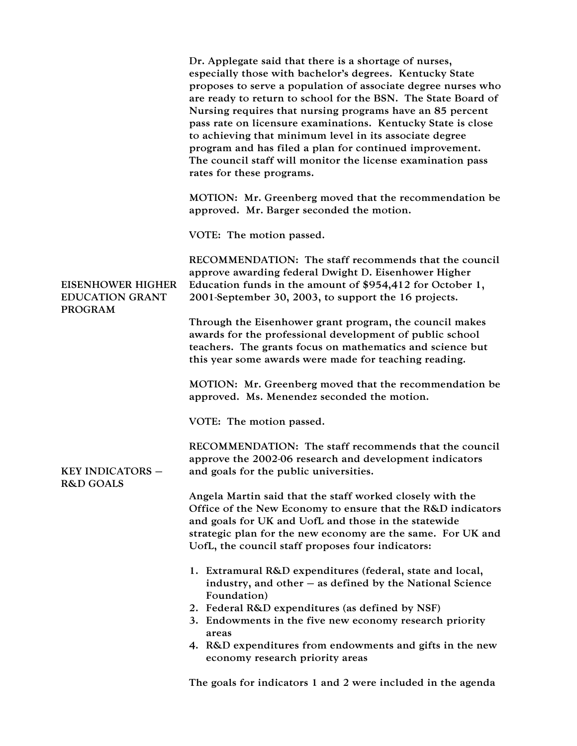|                                                                      | Dr. Applegate said that there is a shortage of nurses,<br>especially those with bachelor's degrees. Kentucky State<br>proposes to serve a population of associate degree nurses who<br>are ready to return to school for the BSN. The State Board of<br>Nursing requires that nursing programs have an 85 percent<br>pass rate on licensure examinations. Kentucky State is close<br>to achieving that minimum level in its associate degree<br>program and has filed a plan for continued improvement.<br>The council staff will monitor the license examination pass<br>rates for these programs. |
|----------------------------------------------------------------------|-----------------------------------------------------------------------------------------------------------------------------------------------------------------------------------------------------------------------------------------------------------------------------------------------------------------------------------------------------------------------------------------------------------------------------------------------------------------------------------------------------------------------------------------------------------------------------------------------------|
|                                                                      | MOTION: Mr. Greenberg moved that the recommendation be<br>approved. Mr. Barger seconded the motion.                                                                                                                                                                                                                                                                                                                                                                                                                                                                                                 |
|                                                                      | VOTE: The motion passed.                                                                                                                                                                                                                                                                                                                                                                                                                                                                                                                                                                            |
| <b>EISENHOWER HIGHER</b><br><b>EDUCATION GRANT</b><br><b>PROGRAM</b> | RECOMMENDATION: The staff recommends that the council<br>approve awarding federal Dwight D. Eisenhower Higher<br>Education funds in the amount of $$954,412$ for October 1,<br>2001-September 30, 2003, to support the 16 projects.                                                                                                                                                                                                                                                                                                                                                                 |
|                                                                      | Through the Eisenhower grant program, the council makes<br>awards for the professional development of public school<br>teachers. The grants focus on mathematics and science but<br>this year some awards were made for teaching reading.                                                                                                                                                                                                                                                                                                                                                           |
|                                                                      | MOTION: Mr. Greenberg moved that the recommendation be<br>approved. Ms. Menendez seconded the motion.                                                                                                                                                                                                                                                                                                                                                                                                                                                                                               |
|                                                                      | VOTE: The motion passed.                                                                                                                                                                                                                                                                                                                                                                                                                                                                                                                                                                            |
| <b>KEY INDICATORS -</b><br><b>R&amp;D GOALS</b>                      | RECOMMENDATION: The staff recommends that the council<br>approve the 2002-06 research and development indicators<br>and goals for the public universities.                                                                                                                                                                                                                                                                                                                                                                                                                                          |
|                                                                      | Angela Martin said that the staff worked closely with the<br>Office of the New Economy to ensure that the R&D indicators<br>and goals for UK and UofL and those in the statewide<br>strategic plan for the new economy are the same. For UK and<br>UofL, the council staff proposes four indicators:                                                                                                                                                                                                                                                                                                |
|                                                                      | 1. Extramural R&D expenditures (federal, state and local,<br>industry, and other - as defined by the National Science<br>Foundation)<br>2. Federal R&D expenditures (as defined by NSF)<br>3. Endowments in the five new economy research priority<br>areas<br>4. R&D expenditures from endowments and gifts in the new<br>economy research priority areas                                                                                                                                                                                                                                          |

The goals for indicators 1 and 2 were included in the agenda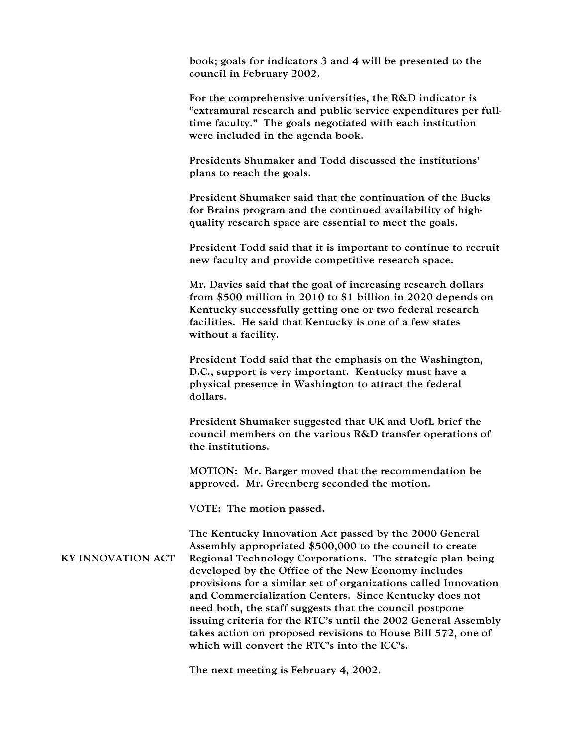book; goals for indicators 3 and 4 will be presented to the council in February 2002.

For the comprehensive universities, the R&D indicator is "extramural research and public service expenditures per fulltime faculty." The goals negotiated with each institution were included in the agenda book.

Presidents Shumaker and Todd discussed the institutions' plans to reach the goals.

President Shumaker said that the continuation of the Bucks for Brains program and the continued availability of highquality research space are essential to meet the goals.

President Todd said that it is important to continue to recruit new faculty and provide competitive research space.

Mr. Davies said that the goal of increasing research dollars from \$500 million in 2010 to \$1 billion in 2020 depends on Kentucky successfully getting one or two federal research facilities. He said that Kentucky is one of a few states without a facility.

President Todd said that the emphasis on the Washington, D.C., support is very important. Kentucky must have a physical presence in Washington to attract the federal dollars.

President Shumaker suggested that UK and UofL brief the council members on the various R&D transfer operations of the institutions.

MOTION: Mr. Barger moved that the recommendation be approved. Mr. Greenberg seconded the motion.

VOTE: The motion passed.

KY INNOVATION ACT The Kentucky Innovation Act passed by the 2000 General Assembly appropriated \$500,000 to the council to create Regional Technology Corporations. The strategic plan being developed by the Office of the New Economy includes provisions for a similar set of organizations called Innovation and Commercialization Centers. Since Kentucky does not need both, the staff suggests that the council postpone issuing criteria for the RTC's until the 2002 General Assembly takes action on proposed revisions to House Bill 572, one of which will convert the RTC's into the ICC's.

The next meeting is February 4, 2002.